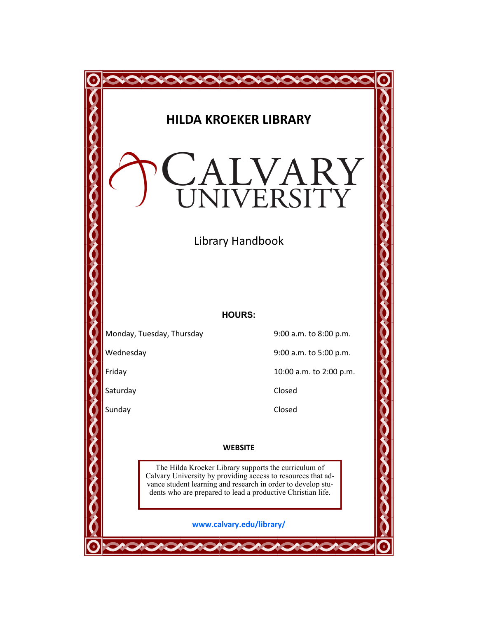|           | <b>HILDA KROEKER LIBRARY</b>                                                                                                | CALVARY                 |  |  |  |
|-----------|-----------------------------------------------------------------------------------------------------------------------------|-------------------------|--|--|--|
|           | Library Handbook                                                                                                            |                         |  |  |  |
|           |                                                                                                                             |                         |  |  |  |
|           | <b>HOURS:</b>                                                                                                               |                         |  |  |  |
|           | Monday, Tuesday, Thursday                                                                                                   | 9:00 a.m. to 8:00 p.m.  |  |  |  |
| Wednesday |                                                                                                                             | 9:00 a.m. to 5:00 p.m.  |  |  |  |
| Friday    |                                                                                                                             | 10:00 a.m. to 2:00 p.m. |  |  |  |
| Saturday  |                                                                                                                             | Closed                  |  |  |  |
| Sunday    |                                                                                                                             | Closed                  |  |  |  |
|           |                                                                                                                             |                         |  |  |  |
|           | <b>WEBSITE</b>                                                                                                              |                         |  |  |  |
|           | The Hilda Kroeker Library supports the curriculum of<br>Calvary University by providing access to resources that ad-        |                         |  |  |  |
|           | vance student learning and research in order to develop stu-<br>dents who are prepared to lead a productive Christian life. |                         |  |  |  |
|           | www.calvary.edu/library/                                                                                                    |                         |  |  |  |
|           |                                                                                                                             |                         |  |  |  |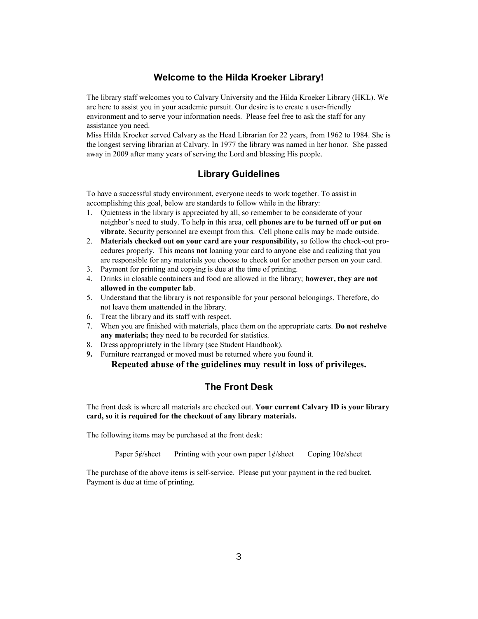## **Welcome to the Hilda Kroeker Library!**

The library staff welcomes you to Calvary University and the Hilda Kroeker Library (HKL). We are here to assist you in your academic pursuit. Our desire is to create a user-friendly environment and to serve your information needs. Please feel free to ask the staff for any assistance you need.

Miss Hilda Kroeker served Calvary as the Head Librarian for 22 years, from 1962 to 1984. She is the longest serving librarian at Calvary. In 1977 the library was named in her honor. She passed away in 2009 after many years of serving the Lord and blessing His people.

# **Library Guidelines**

To have a successful study environment, everyone needs to work together. To assist in accomplishing this goal, below are standards to follow while in the library:

- 1. Quietness in the library is appreciated by all, so remember to be considerate of your neighbor's need to study. To help in this area, **cell phones are to be turned off or put on vibrate**. Security personnel are exempt from this. Cell phone calls may be made outside.
- 2. **Materials checked out on your card are your responsibility,** so follow the check-out procedures properly. This means **not** loaning your card to anyone else and realizing that you are responsible for any materials you choose to check out for another person on your card.
- 3. Payment for printing and copying is due at the time of printing.
- 4. Drinks in closable containers and food are allowed in the library; **however, they are not allowed in the computer lab**.
- 5. Understand that the library is not responsible for your personal belongings. Therefore, do not leave them unattended in the library.
- 6. Treat the library and its staff with respect.
- 7. When you are finished with materials, place them on the appropriate carts. **Do not reshelve any materials;** they need to be recorded for statistics.
- 8. Dress appropriately in the library (see Student Handbook).
- **9.** Furniture rearranged or moved must be returned where you found it.

**Repeated abuse of the guidelines may result in loss of privileges.**

# **The Front Desk**

The front desk is where all materials are checked out. **Your current Calvary ID is your library card, so it is required for the checkout of any library materials.** 

The following items may be purchased at the front desk:

Paper  $5¢$ /sheet Printing with your own paper  $1¢$ /sheet Coping  $10¢$ /sheet

The purchase of the above items is self-service. Please put your payment in the red bucket. Payment is due at time of printing.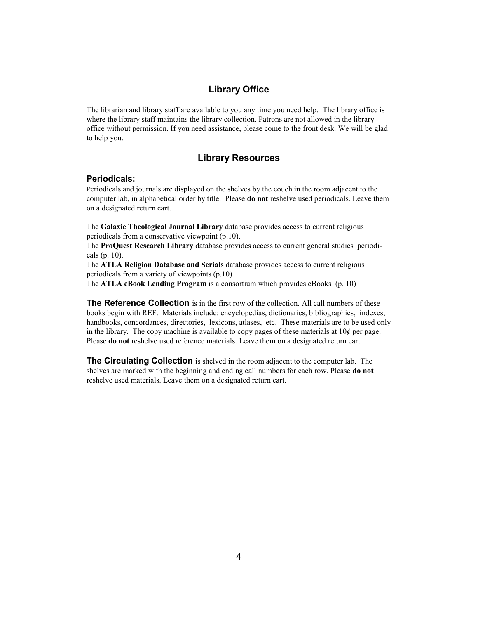### **Library Office**

The librarian and library staff are available to you any time you need help. The library office is where the library staff maintains the library collection. Patrons are not allowed in the library office without permission. If you need assistance, please come to the front desk. We will be glad to help you.

### **Library Resources**

#### **Periodicals:**

Periodicals and journals are displayed on the shelves by the couch in the room adjacent to the computer lab, in alphabetical order by title. Please **do not** reshelve used periodicals. Leave them on a designated return cart.

The **Galaxie Theological Journal Library** database provides access to current religious periodicals from a conservative viewpoint (p.10).

The **ProQuest Research Library** database provides access to current general studies periodicals (p. 10).

The **ATLA Religion Database and Serials** database provides access to current religious periodicals from a variety of viewpoints (p.10)

The **ATLA eBook Lending Program** is a consortium which provides eBooks (p. 10)

**The Reference Collection** is in the first row of the collection. All call numbers of these books begin with REF. Materials include: encyclopedias, dictionaries, bibliographies, indexes, handbooks, concordances, directories, lexicons, atlases, etc. These materials are to be used only in the library. The copy machine is available to copy pages of these materials at  $10¢$  per page. Please **do not** reshelve used reference materials. Leave them on a designated return cart.

**The Circulating Collection** is shelved in the room adjacent to the computer lab. The shelves are marked with the beginning and ending call numbers for each row. Please **do not**  reshelve used materials. Leave them on a designated return cart.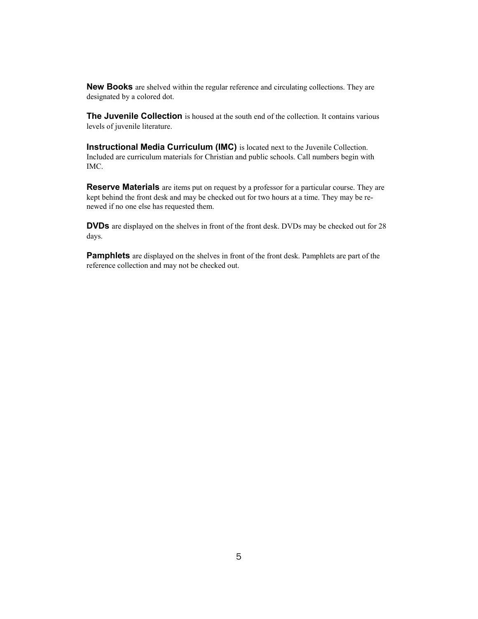**New Books** are shelved within the regular reference and circulating collections. They are designated by a colored dot.

**The Juvenile Collection** is housed at the south end of the collection. It contains various levels of juvenile literature.

**Instructional Media Curriculum (IMC)** is located next to the Juvenile Collection. Included are curriculum materials for Christian and public schools. Call numbers begin with IMC.

**Reserve Materials** are items put on request by a professor for a particular course. They are kept behind the front desk and may be checked out for two hours at a time. They may be renewed if no one else has requested them.

**DVDs** are displayed on the shelves in front of the front desk. DVDs may be checked out for 28 days.

**Pamphlets** are displayed on the shelves in front of the front desk. Pamphlets are part of the reference collection and may not be checked out.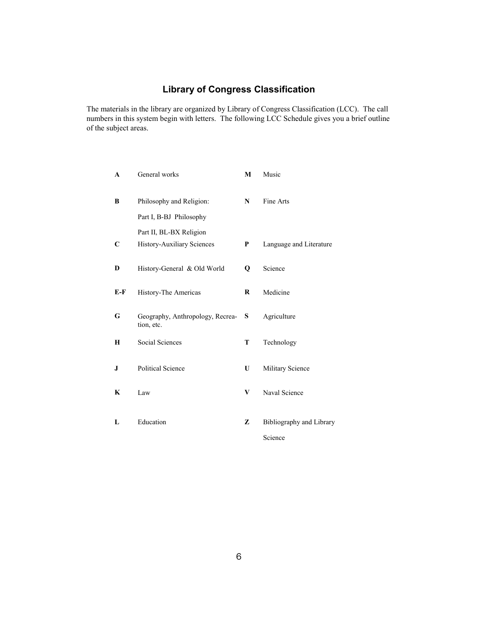# **Library of Congress Classification**

The materials in the library are organized by Library of Congress Classification (LCC). The call numbers in this system begin with letters. The following LCC Schedule gives you a brief outline of the subject areas.

| General works                                  | M           | Music                               |
|------------------------------------------------|-------------|-------------------------------------|
| Philosophy and Religion:                       | N           | Fine Arts                           |
| Part I, B-BJ Philosophy                        |             |                                     |
| Part II, BL-BX Religion                        |             |                                     |
| History-Auxiliary Sciences                     | P           | Language and Literature             |
| History-General & Old World                    | $\mathbf 0$ | Science                             |
| History-The Americas                           | R           | Medicine                            |
| Geography, Anthropology, Recrea-<br>tion, etc. | S           | Agriculture                         |
| Social Sciences                                | T           | Technology                          |
| <b>Political Science</b>                       | U           | Military Science                    |
| Law                                            | V           | Naval Science                       |
| Education                                      | Z           | Bibliography and Library<br>Science |
|                                                |             |                                     |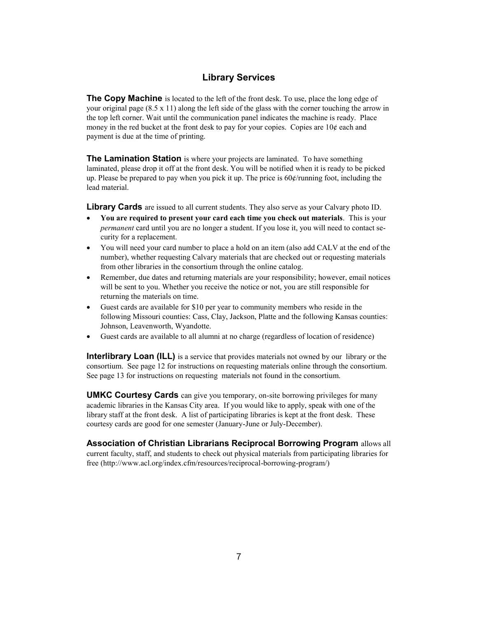# **Library Services**

**The Copy Machine** is located to the left of the front desk. To use, place the long edge of your original page (8.5 x 11) along the left side of the glass with the corner touching the arrow in the top left corner. Wait until the communication panel indicates the machine is ready. Place money in the red bucket at the front desk to pay for your copies. Copies are  $10¢$  each and payment is due at the time of printing.

**The Lamination Station** is where your projects are laminated. To have something laminated, please drop it off at the front desk. You will be notified when it is ready to be picked up. Please be prepared to pay when you pick it up. The price is  $60¢$ /running foot, including the lead material.

**Library Cards** are issued to all current students. They also serve as your Calvary photo ID.

- **You are required to present your card each time you check out materials**. This is your *permanent* card until you are no longer a student. If you lose it, you will need to contact security for a replacement.
- You will need your card number to place a hold on an item (also add CALV at the end of the number), whether requesting Calvary materials that are checked out or requesting materials from other libraries in the consortium through the online catalog.
- Remember, due dates and returning materials are your responsibility; however, email notices will be sent to you. Whether you receive the notice or not, you are still responsible for returning the materials on time.
- Guest cards are available for \$10 per year to community members who reside in the following Missouri counties: Cass, Clay, Jackson, Platte and the following Kansas counties: Johnson, Leavenworth, Wyandotte.
- Guest cards are available to all alumni at no charge (regardless of location of residence)

**Interlibrary Loan (ILL)** is a service that provides materials not owned by our library or the consortium. See page 12 for instructions on requesting materials online through the consortium. See page 13 for instructions on requesting materials not found in the consortium.

**UMKC Courtesy Cards** can give you temporary, on-site borrowing privileges for many academic libraries in the Kansas City area. If you would like to apply, speak with one of the library staff at the front desk. A list of participating libraries is kept at the front desk. These courtesy cards are good for one semester (January-June or July-December).

**Association of Christian Librarians Reciprocal Borrowing Program** allows all current faculty, staff, and students to check out physical materials from participating libraries for free (http://www.acl.org/index.cfm/resources/reciprocal-borrowing-program/)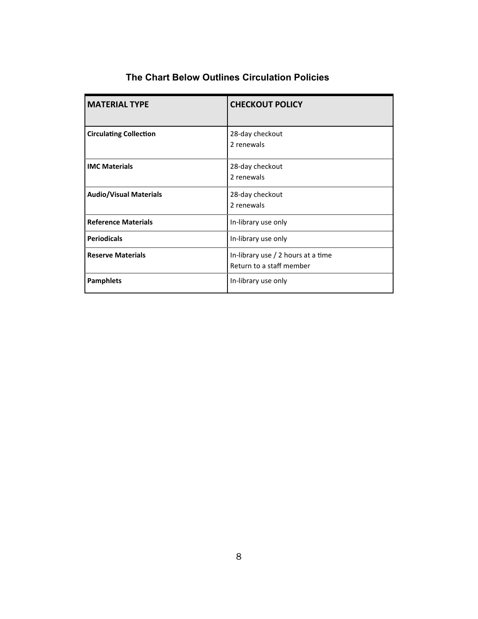| <b>MATERIAL TYPE</b>          | <b>CHECKOUT POLICY</b>                                         |  |
|-------------------------------|----------------------------------------------------------------|--|
| <b>Circulating Collection</b> | 28-day checkout<br>2 renewals                                  |  |
| <b>IMC Materials</b>          | 28-day checkout<br>2 renewals                                  |  |
| <b>Audio/Visual Materials</b> | 28-day checkout<br>2 renewals                                  |  |
| <b>Reference Materials</b>    | In-library use only                                            |  |
| <b>Periodicals</b>            | In-library use only                                            |  |
| <b>Reserve Materials</b>      | In-library use / 2 hours at a time<br>Return to a staff member |  |
| <b>Pamphlets</b>              | In-library use only                                            |  |

# **The Chart Below Outlines Circulation Policies**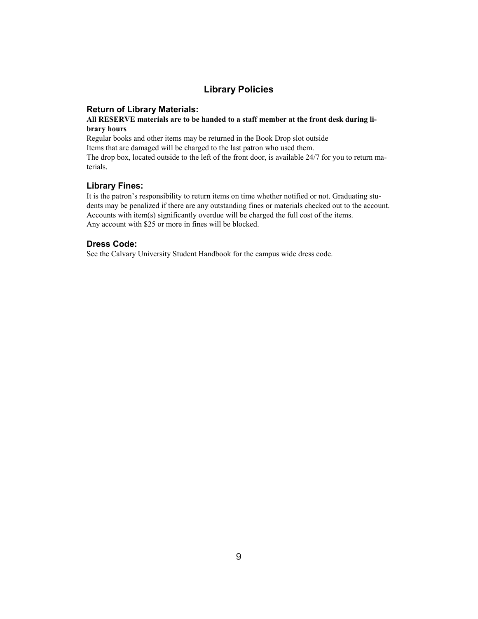# **Library Policies**

#### **Return of Library Materials:**

#### **All RESERVE materials are to be handed to a staff member at the front desk during library hours**

Regular books and other items may be returned in the Book Drop slot outside Items that are damaged will be charged to the last patron who used them. The drop box, located outside to the left of the front door, is available 24/7 for you to return materials.

### **Library Fines:**

It is the patron's responsibility to return items on time whether notified or not. Graduating students may be penalized if there are any outstanding fines or materials checked out to the account. Accounts with item(s) significantly overdue will be charged the full cost of the items. Any account with \$25 or more in fines will be blocked.

#### **Dress Code:**

See the Calvary University Student Handbook for the campus wide dress code.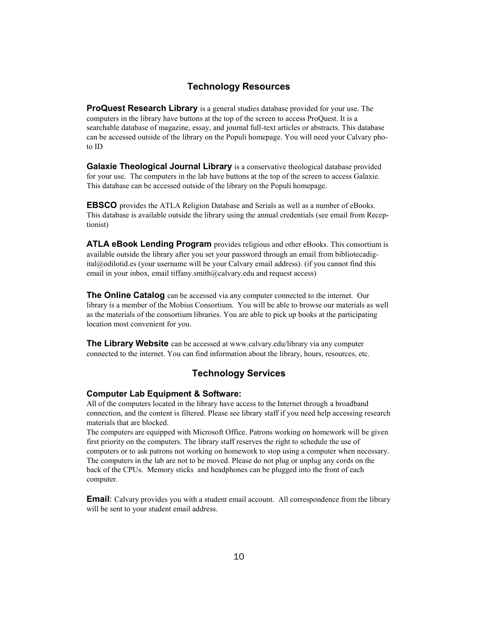## **Technology Resources**

**ProQuest Research Library** is a general studies database provided for your use. The computers in the library have buttons at the top of the screen to access ProQuest. It is a searchable database of magazine, essay, and journal full-text articles or abstracts. This database can be accessed outside of the library on the Populi homepage. You will need your Calvary photo ID

**Galaxie Theological Journal Library** is a conservative theological database provided for your use. The computers in the lab have buttons at the top of the screen to access Galaxie. This database can be accessed outside of the library on the Populi homepage.

**EBSCO** provides the ATLA Religion Database and Serials as well as a number of eBooks. This database is available outside the library using the annual credentials (see email from Receptionist)

**ATLA eBook Lending Program** provides religious and other eBooks. This consortium is available outside the library after you set your password through an email from bibliotecadigital@odilotid.es (your username will be your Calvary email address). (if you cannot find this email in your inbox, email tiffany.smith@calvary.edu and request access)

**The Online Catalog** can be accessed via any computer connected to the internet. Our library is a member of the Mobius Consortium. You will be able to browse our materials as well as the materials of the consortium libraries. You are able to pick up books at the participating location most convenient for you.

**The Library Website** can be accessed at www.calvary.edu/library via any computer connected to the internet. You can find information about the library, hours, resources, etc.

# **Technology Services**

#### **Computer Lab Equipment & Software:**

All of the computers located in the library have access to the Internet through a broadband connection, and the content is filtered. Please see library staff if you need help accessing research materials that are blocked.

The computers are equipped with Microsoft Office. Patrons working on homework will be given first priority on the computers. The library staff reserves the right to schedule the use of computers or to ask patrons not working on homework to stop using a computer when necessary. The computers in the lab are not to be moved. Please do not plug or unplug any cords on the back of the CPUs. Memory sticks and headphones can be plugged into the front of each computer.

**Email**: Calvary provides you with a student email account. All correspondence from the library will be sent to your student email address.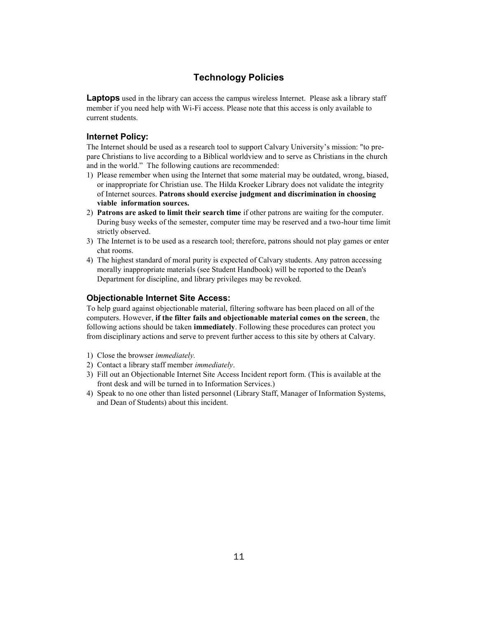# **Technology Policies**

**Laptops** used in the library can access the campus wireless Internet. Please ask a library staff member if you need help with Wi-Fi access. Please note that this access is only available to current students.

## **Internet Policy:**

The Internet should be used as a research tool to support Calvary University's mission: "to prepare Christians to live according to a Biblical worldview and to serve as Christians in the church and in the world." The following cautions are recommended:

- 1) Please remember when using the Internet that some material may be outdated, wrong, biased, or inappropriate for Christian use. The Hilda Kroeker Library does not validate the integrity of Internet sources. **Patrons should exercise judgment and discrimination in choosing viable information sources.**
- 2) **Patrons are asked to limit their search time** if other patrons are waiting for the computer. During busy weeks of the semester, computer time may be reserved and a two-hour time limit strictly observed.
- 3) The Internet is to be used as a research tool; therefore, patrons should not play games or enter chat rooms.
- 4) The highest standard of moral purity is expected of Calvary students. Any patron accessing morally inappropriate materials (see Student Handbook) will be reported to the Dean's Department for discipline, and library privileges may be revoked.

#### **Objectionable Internet Site Access:**

To help guard against objectionable material, filtering software has been placed on all of the computers. However, **if the filter fails and objectionable material comes on the screen**, the following actions should be taken **immediately**. Following these procedures can protect you from disciplinary actions and serve to prevent further access to this site by others at Calvary.

- 1) Close the browser *immediately.*
- 2) Contact a library staff member *immediately*.
- 3) Fill out an Objectionable Internet Site Access Incident report form. (This is available at the front desk and will be turned in to Information Services.)
- 4) Speak to no one other than listed personnel (Library Staff, Manager of Information Systems, and Dean of Students) about this incident.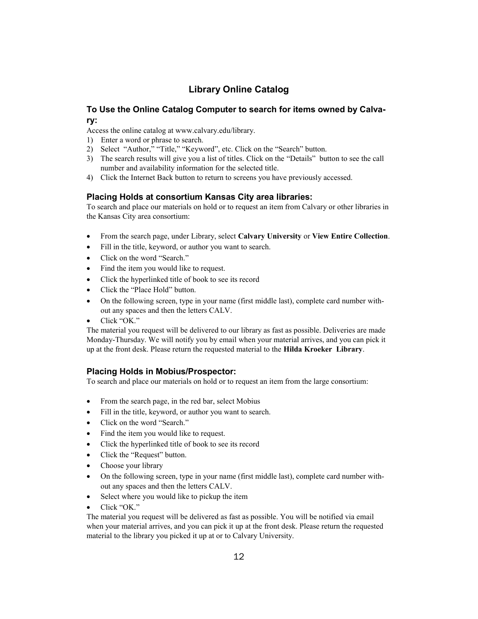# **Library Online Catalog**

# **To Use the Online Catalog Computer to search for items owned by Calvary:**

Access the online catalog at www.calvary.edu/library.

- 1) Enter a word or phrase to search.
- 2) Select "Author," "Title," "Keyword", etc. Click on the "Search" button.
- 3) The search results will give you a list of titles. Click on the "Details" button to see the call number and availability information for the selected title.
- 4) Click the Internet Back button to return to screens you have previously accessed.

#### **Placing Holds at consortium Kansas City area libraries:**

To search and place our materials on hold or to request an item from Calvary or other libraries in the Kansas City area consortium:

- From the search page, under Library, select **Calvary University** or **View Entire Collection**.
- Fill in the title, keyword, or author you want to search.
- Click on the word "Search."
- Find the item you would like to request.
- Click the hyperlinked title of book to see its record
- Click the "Place Hold" button.
- On the following screen, type in your name (first middle last), complete card number without any spaces and then the letters CALV.
- Click "OK."

The material you request will be delivered to our library as fast as possible. Deliveries are made Monday-Thursday. We will notify you by email when your material arrives, and you can pick it up at the front desk. Please return the requested material to the **Hilda Kroeker Library**.

#### **Placing Holds in Mobius/Prospector:**

To search and place our materials on hold or to request an item from the large consortium:

- From the search page, in the red bar, select Mobius
- Fill in the title, keyword, or author you want to search.
- Click on the word "Search."
- Find the item you would like to request.
- Click the hyperlinked title of book to see its record
- Click the "Request" button.
- Choose your library
- On the following screen, type in your name (first middle last), complete card number without any spaces and then the letters CALV.
- Select where you would like to pickup the item
- Click "OK."

The material you request will be delivered as fast as possible. You will be notified via email when your material arrives, and you can pick it up at the front desk. Please return the requested material to the library you picked it up at or to Calvary University.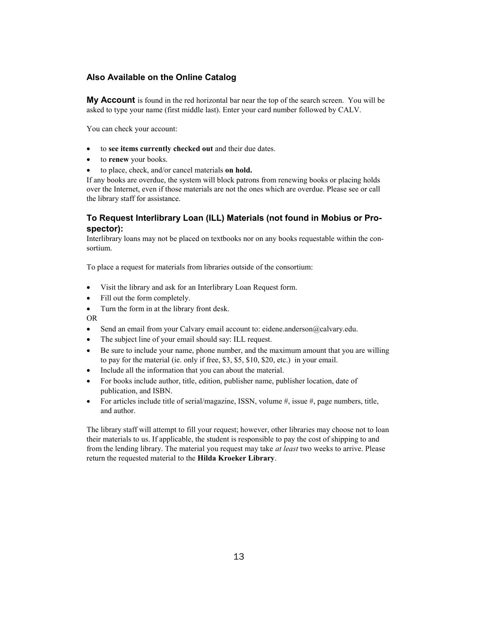### **Also Available on the Online Catalog**

**My Account** is found in the red horizontal bar near the top of the search screen. You will be asked to type your name (first middle last). Enter your card number followed by CALV.

You can check your account:

- to **see items currently checked out** and their due dates.
- to **renew** your books.
- to place, check, and/or cancel materials **on hold.**

If any books are overdue, the system will block patrons from renewing books or placing holds over the Internet, even if those materials are not the ones which are overdue. Please see or call the library staff for assistance.

#### **To Request Interlibrary Loan (ILL) Materials (not found in Mobius or Prospector):**

Interlibrary loans may not be placed on textbooks nor on any books requestable within the consortium.

To place a request for materials from libraries outside of the consortium:

- Visit the library and ask for an Interlibrary Loan Request form.
- Fill out the form completely.
- Turn the form in at the library front desk.

OR

- Send an email from your Calvary email account to: eidene.anderson@calvary.edu.
- The subject line of your email should say: ILL request.
- Be sure to include your name, phone number, and the maximum amount that you are willing to pay for the material (ie. only if free, \$3, \$5, \$10, \$20, etc.) in your email.
- Include all the information that you can about the material.
- For books include author, title, edition, publisher name, publisher location, date of publication, and ISBN.
- For articles include title of serial/magazine, ISSN, volume  $\#$ , issue  $\#$ , page numbers, title, and author.

The library staff will attempt to fill your request; however, other libraries may choose not to loan their materials to us. If applicable, the student is responsible to pay the cost of shipping to and from the lending library. The material you request may take *at least* two weeks to arrive. Please return the requested material to the **Hilda Kroeker Library**.